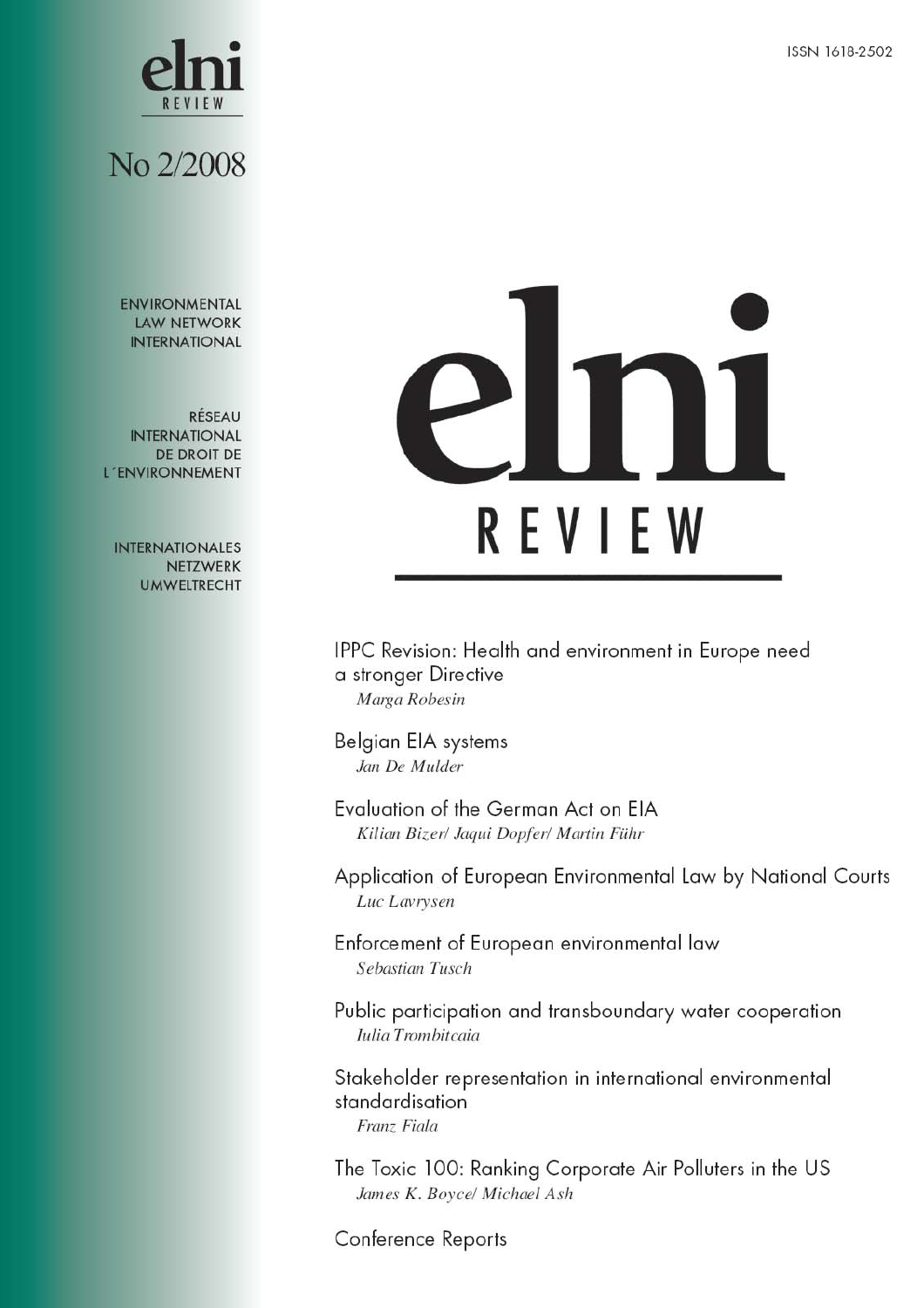

## No 2/2008

**ENVIRONMENTAL LAW NETWORK INTERNATIONAL** 

RÉSEAU **INTERNATIONAL** DE DROIT DE L'ENVIRONNEMENT

**INTERNATIONALES** NETZWERK **UMWELTRECHT** 

# REVIEW

IPPC Revision: Health and environment in Europe need a stronger Directive Marga Robesin

Belgian EIA systems Jan De Mulder

Evaluation of the German Act on EIA Kilian Bizer/ Jaqui Dopfer/ Martin Führ

Application of European Environmental Law by National Courts Luc Lavrysen

Enforcement of European environmental law Sebastian Tusch

Public participation and transboundary water cooperation Iulia Trombitcaia

Stakeholder representation in international environmental standardisation Franz Fiala

The Toxic 100: Ranking Corporate Air Polluters in the US James K. Boyce/ Michael Ash

Conference Reports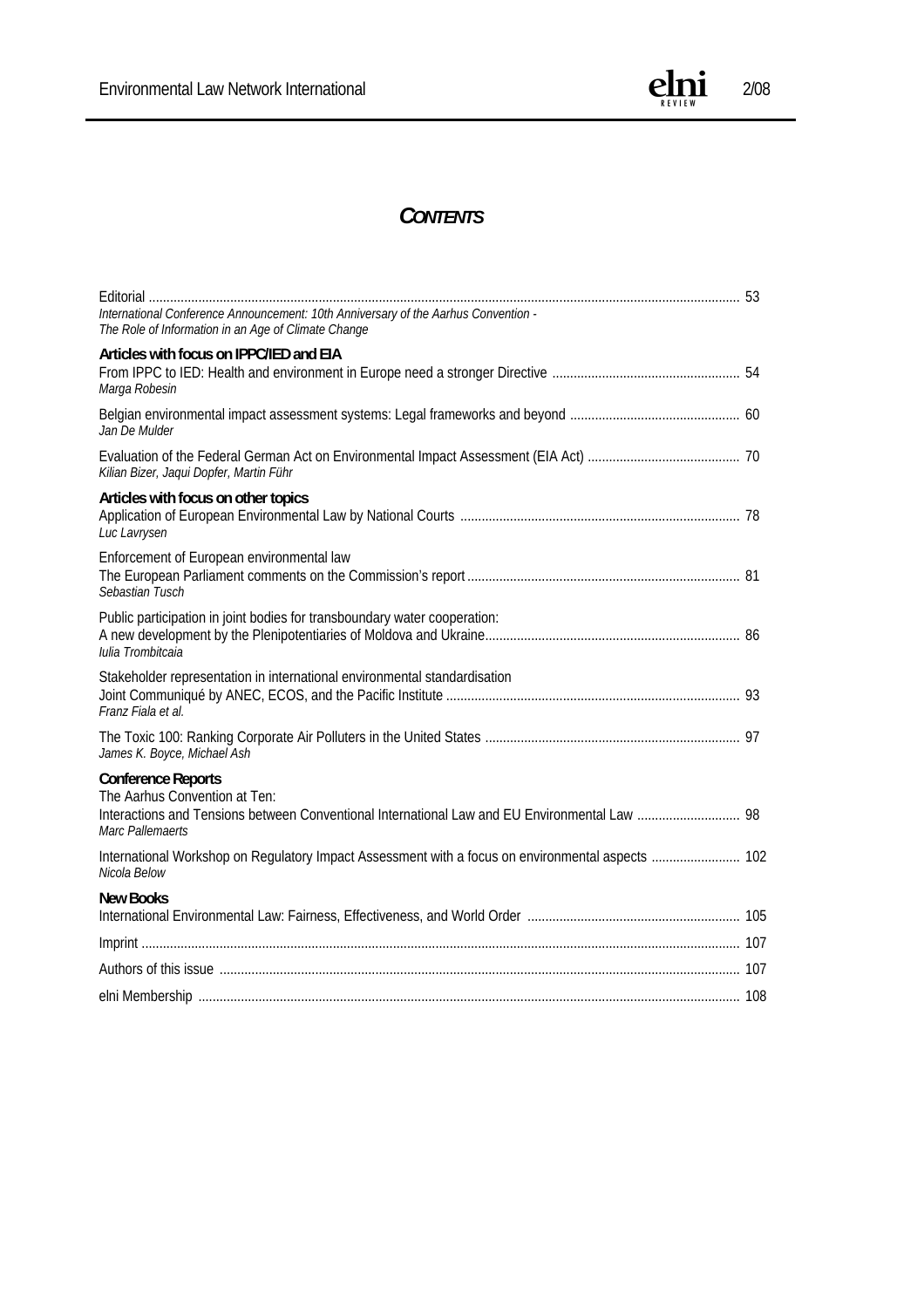

#### *CONTENTS*

| International Conference Announcement: 10th Anniversary of the Aarhus Convention -<br>The Role of Information in an Age of Climate Change                                       |  |
|---------------------------------------------------------------------------------------------------------------------------------------------------------------------------------|--|
| Articles with focus on IPPC/IED and EIA<br>Marga Robesin                                                                                                                        |  |
| Jan De Mulder                                                                                                                                                                   |  |
| Kilian Bizer, Jaqui Dopfer, Martin Führ                                                                                                                                         |  |
| Articles with focus on other topics<br>Luc Lavrysen                                                                                                                             |  |
| Enforcement of European environmental law<br>Sebastian Tusch                                                                                                                    |  |
| Public participation in joint bodies for transboundary water cooperation:<br>Iulia Trombitcaia                                                                                  |  |
| Stakeholder representation in international environmental standardisation<br>Franz Fiala et al.                                                                                 |  |
| James K. Boyce, Michael Ash                                                                                                                                                     |  |
| <b>Conference Reports</b><br>The Aarhus Convention at Ten:<br>Interactions and Tensions between Conventional International Law and EU Environmental Law  98<br>Marc Pallemaerts |  |
| Nicola Below                                                                                                                                                                    |  |
| <b>New Books</b>                                                                                                                                                                |  |
|                                                                                                                                                                                 |  |
|                                                                                                                                                                                 |  |
|                                                                                                                                                                                 |  |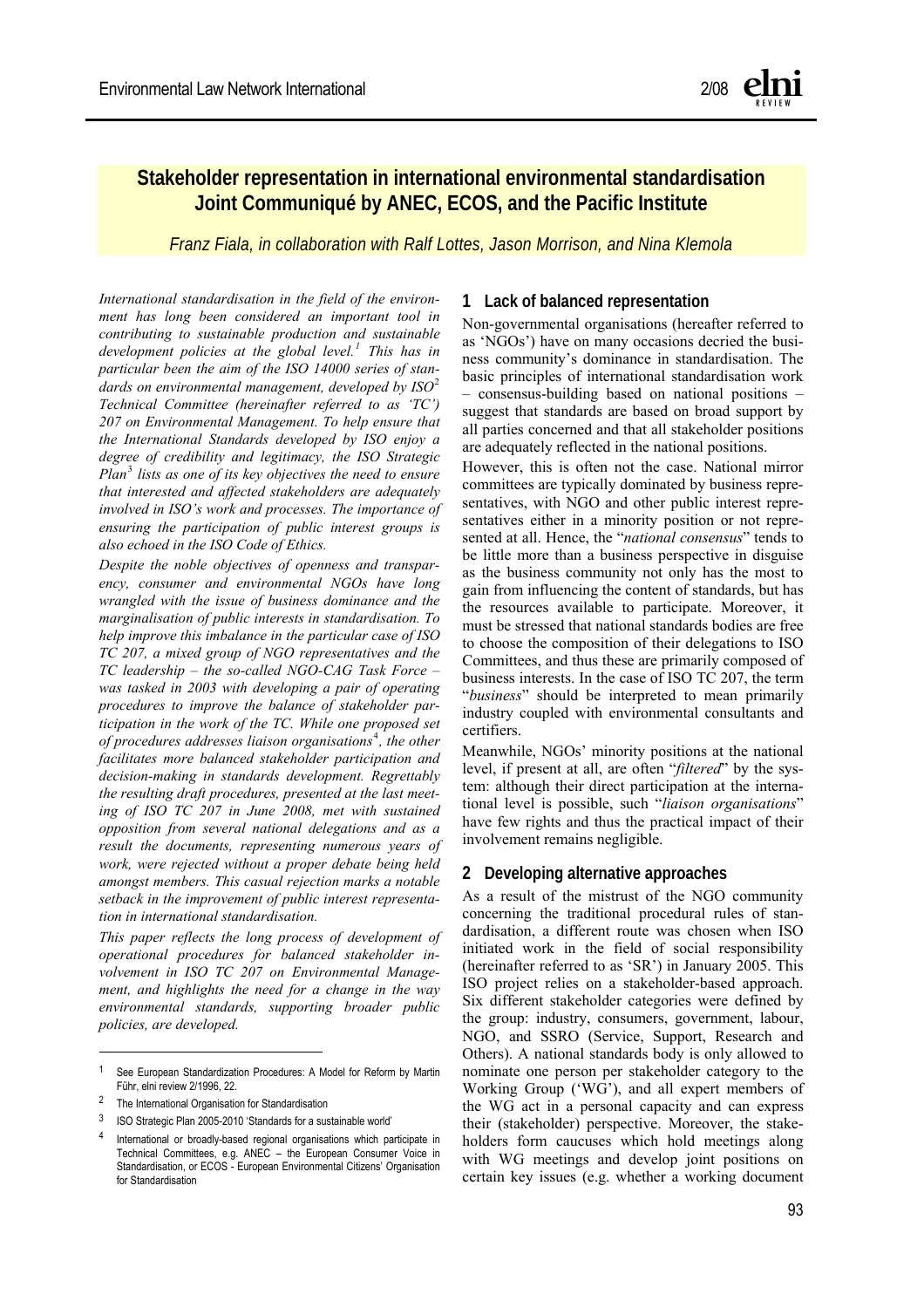#### **Stakeholder representation in international environmental standardisation Joint Communiqué by ANEC, ECOS, and the Pacific Institute**

*Franz Fiala, in collaboration with Ralf Lottes, Jason Morrison, and Nina Klemola* 

*International standardisation in the field of the environment has long been considered an important tool in contributing to sustainable production and sustainable development policies at the global level.[1](#page-2-0) This has in particular been the aim of the ISO 14000 series of standards on environmental management, developed by ISO*[2](#page-2-1) *Technical Committee (hereinafter referred to as 'TC') 207 on Environmental Management. To help ensure that the International Standards developed by ISO enjoy a degree of credibility and legitimacy, the ISO Strategic Plan*[3](#page-2-2)  *lists as one of its key objectives the need to ensure that interested and affected stakeholders are adequately involved in ISO's work and processes. The importance of ensuring the participation of public interest groups is also echoed in the ISO Code of Ethics.* 

*Despite the noble objectives of openness and transparency, consumer and environmental NGOs have long wrangled with the issue of business dominance and the marginalisation of public interests in standardisation. To help improve this imbalance in the particular case of ISO TC 207, a mixed group of NGO representatives and the TC leadership – the so-called NGO-CAG Task Force – was tasked in 2003 with developing a pair of operating procedures to improve the balance of stakeholder participation in the work of the TC. While one proposed set of procedures addresses liaison organisations*[4](#page-2-3) *, the other facilitates more balanced stakeholder participation and decision-making in standards development. Regrettably the resulting draft procedures, presented at the last meeting of ISO TC 207 in June 2008, met with sustained opposition from several national delegations and as a result the documents, representing numerous years of work, were rejected without a proper debate being held amongst members. This casual rejection marks a notable setback in the improvement of public interest representation in international standardisation.* 

*This paper reflects the long process of development of operational procedures for balanced stakeholder involvement in ISO TC 207 on Environmental Management, and highlights the need for a change in the way environmental standards, supporting broader public policies, are developed.* 

 $\overline{a}$ 

#### **1 Lack of balanced representation**

Non-governmental organisations (hereafter referred to as 'NGOs') have on many occasions decried the business community's dominance in standardisation. The basic principles of international standardisation work – consensus-building based on national positions – suggest that standards are based on broad support by all parties concerned and that all stakeholder positions are adequately reflected in the national positions.

However, this is often not the case. National mirror committees are typically dominated by business representatives, with NGO and other public interest representatives either in a minority position or not represented at all. Hence, the "*national consensus*" tends to be little more than a business perspective in disguise as the business community not only has the most to gain from influencing the content of standards, but has the resources available to participate. Moreover, it must be stressed that national standards bodies are free to choose the composition of their delegations to ISO Committees, and thus these are primarily composed of business interests. In the case of ISO TC 207, the term "*business*" should be interpreted to mean primarily industry coupled with environmental consultants and certifiers.

Meanwhile, NGOs' minority positions at the national level, if present at all, are often "*filtered*" by the system: although their direct participation at the international level is possible, such "*liaison organisations*" have few rights and thus the practical impact of their involvement remains negligible.

#### **2 Developing alternative approaches**

As a result of the mistrust of the NGO community concerning the traditional procedural rules of standardisation, a different route was chosen when ISO initiated work in the field of social responsibility (hereinafter referred to as 'SR') in January 2005. This ISO project relies on a stakeholder-based approach. Six different stakeholder categories were defined by the group: industry, consumers, government, labour, NGO, and SSRO (Service, Support, Research and Others). A national standards body is only allowed to nominate one person per stakeholder category to the Working Group ('WG'), and all expert members of the WG act in a personal capacity and can express their (stakeholder) perspective. Moreover, the stakeholders form caucuses which hold meetings along with WG meetings and develop joint positions on certain key issues (e.g. whether a working document

<span id="page-2-0"></span><sup>1</sup> See European Standardization Procedures: A Model for Reform by Martin Führ, elni review 2/1996, 22.

<span id="page-2-1"></span><sup>2</sup> The International Organisation for Standardisation

<span id="page-2-2"></span><sup>3</sup> ISO Strategic Plan 2005-2010 'Standards for a sustainable world'

<span id="page-2-3"></span><sup>4</sup> International or broadly-based regional organisations which participate in Technical Committees, e.g. ANEC – the European Consumer Voice in Standardisation, or ECOS - European Environmental Citizens' Organisation for Standardisation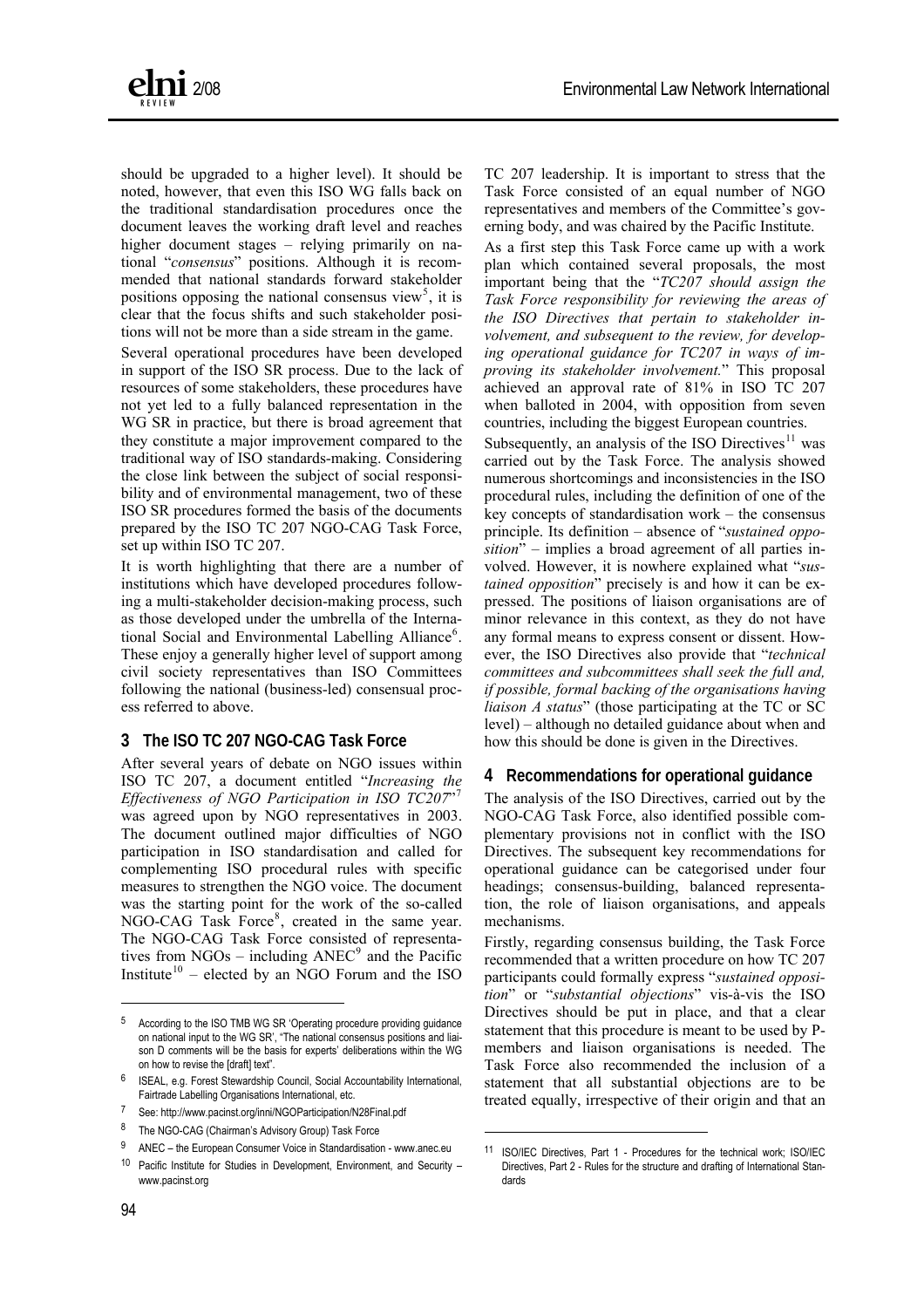

should be upgraded to a higher level). It should be noted, however, that even this ISO WG falls back on the traditional standardisation procedures once the document leaves the working draft level and reaches higher document stages – relying primarily on national "*consensus*" positions. Although it is recommended that national standards forward stakeholder positions opposing the national consensus view<sup>5</sup>, it is clear that the focus shifts and such stakeholder positions will not be more than a side stream in the game.

Several operational procedures have been developed in support of the ISO SR process. Due to the lack of resources of some stakeholders, these procedures have not yet led to a fully balanced representation in the WG SR in practice, but there is broad agreement that they constitute a major improvement compared to the traditional way of ISO standards-making. Considering the close link between the subject of social responsibility and of environmental management, two of these ISO SR procedures formed the basis of the documents prepared by the ISO TC 207 NGO-CAG Task Force, set up within ISO TC 207.

It is worth highlighting that there are a number of institutions which have developed procedures following a multi-stakeholder decision-making process, such as those developed under the umbrella of the Interna-tional Social and Environmental Labelling Alliance<sup>[6](#page-3-0)</sup>. These enjoy a generally higher level of support among civil society representatives than ISO Committees following the national (business-led) consensual process referred to above.

#### **3 The ISO TC 207 NGO-CAG Task Force**

After several years of debate on NGO issues within ISO TC 207, a document entitled "*Increasing the Effectiveness of NGO Participation in ISO TC207*"[7](#page-3-1) was agreed upon by NGO representatives in 2003. The document outlined major difficulties of NGO participation in ISO standardisation and called for complementing ISO procedural rules with specific measures to strengthen the NGO voice. The document was the starting point for the work of the so-called NGO-CAG Task Force<sup>[8](#page-3-2)</sup>, created in the same year. The NGO-CAG Task Force consisted of representatives from  $NGOs - including ANEC<sup>9</sup>$  $NGOs - including ANEC<sup>9</sup>$  $NGOs - including ANEC<sup>9</sup>$  and the Pacific Institute $10$  – elected by an NGO Forum and the ISO

erning body, and was chaired by the Pacific Institute. TC 207 leadership. It is important to stress that the Task Force consisted of an equal number of NGO representatives and members of the Committee's gov-

As a first step this Task Force came up with a work plan which contained several proposals, the most important being that the "*TC207 should assign the Task Force responsibility for reviewing the areas of the ISO Directives that pertain to stakeholder involvement, and subsequent to the review, for developing operational guidance for TC207 in ways of improving its stakeholder involvement.*" This proposal achieved an approval rate of 81% in ISO TC 207 when balloted in 2004, with opposition from seven countries, including the biggest European countries.

Subsequently, an analysis of the ISO Directives $11$  was carried out by the Task Force. The analysis showed numerous shortcomings and inconsistencies in the ISO procedural rules, including the definition of one of the key concepts of standardisation work – the consensus principle. Its definition – absence of "*sustained opposition*" – implies a broad agreement of all parties involved. However, it is nowhere explained what "*sustained opposition*" precisely is and how it can be expressed. The positions of liaison organisations are of minor relevance in this context, as they do not have any formal means to express consent or dissent. However, the ISO Directives also provide that "*technical committees and subcommittees shall seek the full and, if possible, formal backing of the organisations having liaison A status*" (those participating at the TC or SC level) – although no detailed guidance about when and how this should be done is given in the Directives.

#### **4 Recommendations for operational guidance**

The analysis of the ISO Directives, carried out by the NGO-CAG Task Force, also identified possible complementary provisions not in conflict with the ISO Directives. The subsequent key recommendations for operational guidance can be categorised under four headings; consensus-building, balanced representation, the role of liaison organisations, and appeals mechanisms.

Firstly, regarding consensus building, the Task Force recommended that a written procedure on how TC 207 participants could formally express "*sustained opposition*" or "*substantial objections*" vis-à-vis the ISO Directives should be put in place, and that a clear statement that this procedure is meant to be used by Pmembers and liaison organisations is needed. The Task Force also recommended the inclusion of a statement that all substantial objections are to be treated equally, irrespective of their origin and that an

l

l

<sup>5</sup> According to the ISO TMB WG SR 'Operating procedure providing guidance on national input to the WG SR', "The national consensus positions and liaison D comments will be the basis for experts' deliberations within the WG on how to revise the [draft] text".

<span id="page-3-0"></span><sup>6</sup> ISEAL, e.g. Forest Stewardship Council, Social Accountability International, Fairtrade Labelling Organisations International, etc.

<span id="page-3-1"></span><sup>7</sup> See: <http://www.pacinst.org/inni/NGOParticipation/N28Final.pdf>

<span id="page-3-2"></span><sup>8</sup> The NGO-CAG (Chairman's Advisory Group) Task Force

<span id="page-3-5"></span><span id="page-3-4"></span><span id="page-3-3"></span> $9$  ANEC – the European Consumer Voice in Standardisation - www.anec.eu

<sup>10</sup> Pacific Institute for Studies in Development, Environment, and Security – www.pacinst.org

<sup>11</sup> ISO/IEC Directives, Part 1 - Procedures for the technical work; ISO/IEC Directives, Part 2 - Rules for the structure and drafting of International Standards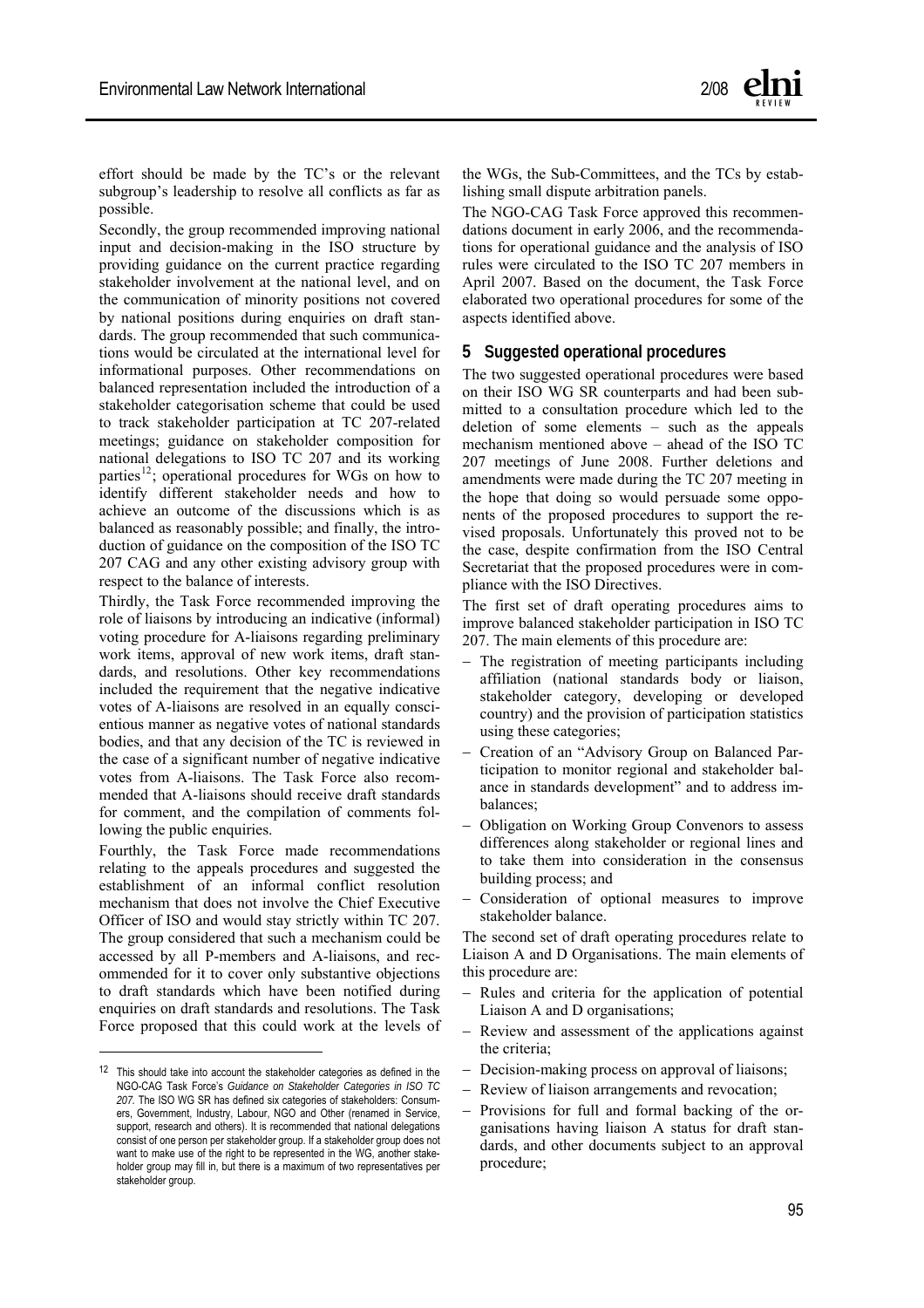effort should be made by the TC's or the relevant subgroup's leadership to resolve all conflicts as far as possible.

Secondly, the group recommended improving national input and decision-making in the ISO structure by providing guidance on the current practice regarding stakeholder involvement at the national level, and on the communication of minority positions not covered by national positions during enquiries on draft standards. The group recommended that such communications would be circulated at the international level for informational purposes. Other recommendations on balanced representation included the introduction of a stakeholder categorisation scheme that could be used to track stakeholder participation at TC 207-related meetings; guidance on stakeholder composition for national delegations to ISO TC 207 and its working parties<sup>[12](#page-4-0)</sup>; operational procedures for WGs on how to identify different stakeholder needs and how to achieve an outcome of the discussions which is as balanced as reasonably possible; and finally, the introduction of guidance on the composition of the ISO TC 207 CAG and any other existing advisory group with respect to the balance of interests.

Thirdly, the Task Force recommended improving the role of liaisons by introducing an indicative (informal) voting procedure for A-liaisons regarding preliminary work items, approval of new work items, draft standards, and resolutions. Other key recommendations included the requirement that the negative indicative votes of A-liaisons are resolved in an equally conscientious manner as negative votes of national standards bodies, and that any decision of the TC is reviewed in the case of a significant number of negative indicative votes from A-liaisons. The Task Force also recommended that A-liaisons should receive draft standards for comment, and the compilation of comments following the public enquiries.

Fourthly, the Task Force made recommendations relating to the appeals procedures and suggested the establishment of an informal conflict resolution mechanism that does not involve the Chief Executive Officer of ISO and would stay strictly within TC 207. The group considered that such a mechanism could be accessed by all P-members and A-liaisons, and recommended for it to cover only substantive objections to draft standards which have been notified during enquiries on draft standards and resolutions. The Task Force proposed that this could work at the levels of

 $\overline{a}$ 

the WGs, the Sub-Committees, and the TCs by establishing small dispute arbitration panels.

The NGO-CAG Task Force approved this recommendations document in early 2006, and the recommendations for operational guidance and the analysis of ISO rules were circulated to the ISO TC 207 members in April 2007. Based on the document, the Task Force elaborated two operational procedures for some of the aspects identified above.

#### **5 Suggested operational procedures**

The two suggested operational procedures were based on their ISO WG SR counterparts and had been submitted to a consultation procedure which led to the deletion of some elements – such as the appeals mechanism mentioned above – ahead of the ISO TC 207 meetings of June 2008. Further deletions and amendments were made during the TC 207 meeting in the hope that doing so would persuade some opponents of the proposed procedures to support the revised proposals. Unfortunately this proved not to be the case, despite confirmation from the ISO Central Secretariat that the proposed procedures were in compliance with the ISO Directives.

The first set of draft operating procedures aims to improve balanced stakeholder participation in ISO TC 207. The main elements of this procedure are:

- The registration of meeting participants including affiliation (national standards body or liaison, stakeholder category, developing or developed country) and the provision of participation statistics using these categories;
- − Creation of an "Advisory Group on Balanced Participation to monitor regional and stakeholder balance in standards development" and to address imbalances;
- − Obligation on Working Group Convenors to assess differences along stakeholder or regional lines and to take them into consideration in the consensus building process; and
- − Consideration of optional measures to improve stakeholder balance.

The second set of draft operating procedures relate to Liaison A and D Organisations. The main elements of this procedure are:

- Rules and criteria for the application of potential Liaison A and D organisations;
- Review and assessment of the applications against the criteria;
- Decision-making process on approval of liaisons;
- Review of liaison arrangements and revocation:
- Provisions for full and formal backing of the organisations having liaison A status for draft standards, and other documents subject to an approval procedure;

<span id="page-4-0"></span><sup>12</sup> This should take into account the stakeholder categories as defined in the NGO-CAG Task Force's *Guidance on Stakeholder Categories in ISO TC 207.* The ISO WG SR has defined six categories of stakeholders: Consumers, Government, Industry, Labour, NGO and Other (renamed in Service, support, research and others). It is recommended that national delegations consist of one person per stakeholder group. If a stakeholder group does not want to make use of the right to be represented in the WG, another stakeholder group may fill in, but there is a maximum of two representatives per stakeholder group.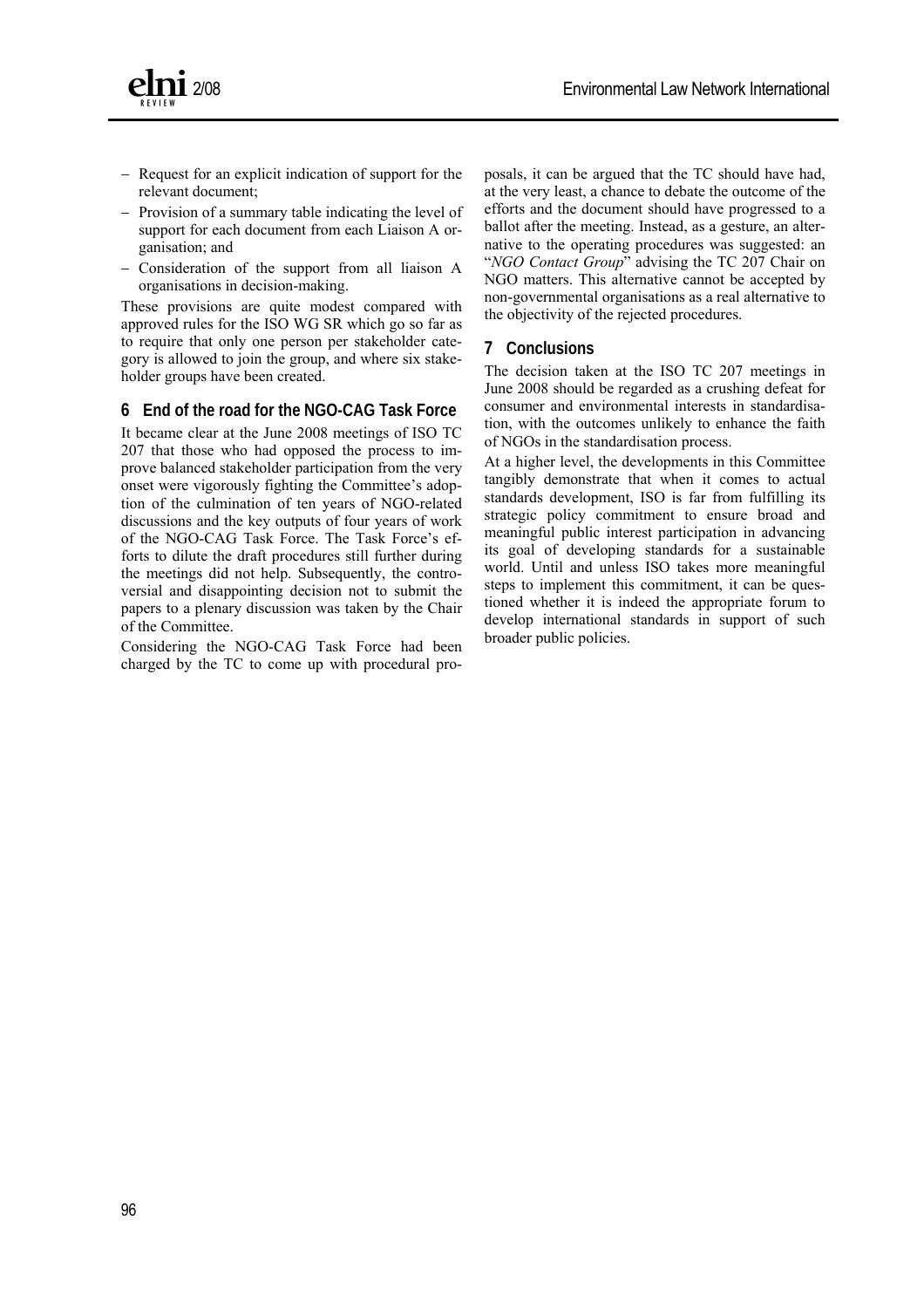



- − Request for an explicit indication of support for the relevant document;
- − Provision of a summary table indicating the level of support for each document from each Liaison A organisation; and
- − Consideration of the support from all liaison A organisations in decision-making.

These provisions are quite modest compared with approved rules for the ISO WG SR which go so far as to require that only one person per stakeholder category is allowed to join the group, and where six stakeholder groups have been created.

#### **6 End of the road for the NGO-CAG Task Force**

It became clear at the June 2008 meetings of ISO TC 207 that those who had opposed the process to improve balanced stakeholder participation from the very onset were vigorously fighting the Committee's adoption of the culmination of ten years of NGO-related discussions and the key outputs of four years of work of the NGO-CAG Task Force. The Task Force's efforts to dilute the draft procedures still further during the meetings did not help. Subsequently, the controversial and disappointing decision not to submit the papers to a plenary discussion was taken by the Chair of the Committee.

Considering the NGO-CAG Task Force had been charged by the TC to come up with procedural proposals, it can be argued that the TC should have had, at the very least, a chance to debate the outcome of the efforts and the document should have progressed to a ballot after the meeting. Instead, as a gesture, an alternative to the operating procedures was suggested: an "*NGO Contact Group*" advising the TC 207 Chair on NGO matters. This alternative cannot be accepted by non-governmental organisations as a real alternative to the objectivity of the rejected procedures.

#### **7 Conclusions**

The decision taken at the ISO TC 207 meetings in June 2008 should be regarded as a crushing defeat for consumer and environmental interests in standardisation, with the outcomes unlikely to enhance the faith of NGOs in the standardisation process.

At a higher level, the developments in this Committee tangibly demonstrate that when it comes to actual standards development, ISO is far from fulfilling its strategic policy commitment to ensure broad and meaningful public interest participation in advancing its goal of developing standards for a sustainable world. Until and unless ISO takes more meaningful steps to implement this commitment, it can be questioned whether it is indeed the appropriate forum to develop international standards in support of such broader public policies.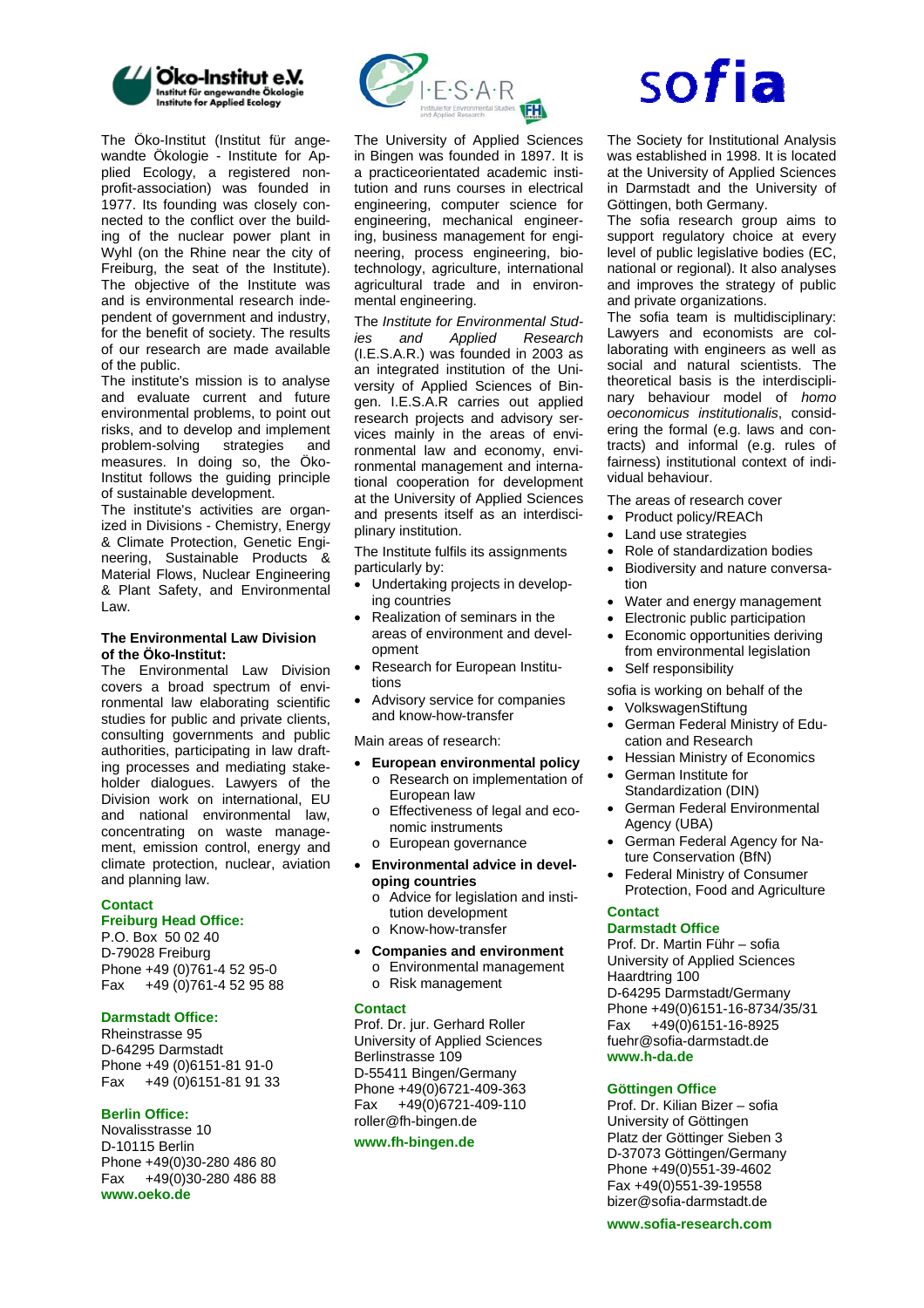

The Öko-Institut (Institut für angewandte Ökologie - Institute for Applied Ecology, a registered nonprofit-association) was founded in 1977. Its founding was closely connected to the conflict over the building of the nuclear power plant in Wyhl (on the Rhine near the city of Freiburg, the seat of the Institute). The objective of the Institute was and is environmental research independent of government and industry, for the benefit of society. The results of our research are made available of the public.

The institute's mission is to analyse and evaluate current and future environmental problems, to point out risks, and to develop and implement problem-solving strategies and measures. In doing so, the Öko-Institut follows the guiding principle of sustainable development.

The institute's activities are organized in Divisions - Chemistry, Energy & Climate Protection, Genetic Engineering, Sustainable Products & Material Flows, Nuclear Engineering & Plant Safety, and Environmental Law.

#### **The Environmental Law Division of the Öko-Institut:**

The Environmental Law Division covers a broad spectrum of environmental law elaborating scientific studies for public and private clients, consulting governments and public authorities, participating in law drafting processes and mediating stakeholder dialogues. Lawyers of the Division work on international, EU and national environmental law, concentrating on waste management, emission control, energy and climate protection, nuclear, aviation and planning law.

#### **Contact Freiburg Head Office:**

P.O. Box 50 02 40 D-79028 Freiburg Phone +49 (0)761-4 52 95-0 Fax +49 (0)761-4 52 95 88

#### **Darmstadt Office:**

Rheinstrasse 95 D-64295 Darmstadt Phone +49 (0)6151-81 91-0 Fax +49 (0)6151-81 91 33

#### **Berlin Office:**

Novalisstrasse 10 D-10115 Berlin Phone +49(0)30-280 486 80 Fax +49(0)30-280 486 88 **[www.oeko.de](http://www.oeko.de/)** 



The University of Applied Sciences in Bingen was founded in 1897. It is a practiceorientated academic institution and runs courses in electrical engineering, computer science for engineering, mechanical engineering, business management for engineering, process engineering, biotechnology, agriculture, international agricultural trade and in environmental engineering.

The *Institute for Environmental Studies and Applied Research* (I.E.S.A.R.) was founded in 2003 as an integrated institution of the University of Applied Sciences of Bingen. I.E.S.A.R carries out applied research projects and advisory services mainly in the areas of environmental law and economy, environmental management and international cooperation for development at the University of Applied Sciences and presents itself as an interdisciplinary institution.

The Institute fulfils its assignments particularly by:

- Undertaking projects in developing countries
- Realization of seminars in the areas of environment and development
- Research for European Institutions
- Advisory service for companies and know-how-transfer

Main areas of research:

- **European environmental policy**  o Research on implementation of
	- European law o Effectiveness of legal and eco-
	- nomic instruments
	- o European governance
- **Environmental advice in developing countries** 
	- o Advice for legislation and institution development o Know-how-transfer
- **Companies and environment**  o Environmental management o Risk management

#### **Contact**

Prof. Dr. jur. Gerhard Roller University of Applied Sciences Berlinstrasse 109 D-55411 Bingen/Germany Phone +49(0)6721-409-363 Fax +49(0)6721-409-110 [roller@fh-bingen.de](mailto:roller@fh-bingen.de) 

#### **[www.fh-bingen.de](http://www.fh-bingen.de/)**

# sofia

The Society for Institutional Analysis was established in 1998. It is located at the University of Applied Sciences in Darmstadt and the University of Göttingen, both Germany.

The sofia research group aims to support regulatory choice at every level of public legislative bodies (EC, national or regional). It also analyses and improves the strategy of public and private organizations.

The sofia team is multidisciplinary: Lawyers and economists are collaborating with engineers as well as social and natural scientists. The theoretical basis is the interdisciplinary behaviour model of *homo oeconomicus institutionalis*, considering the formal (e.g. laws and contracts) and informal (e.g. rules of fairness) institutional context of individual behaviour.

The areas of research cover

- Product policy/REACh
- Land use strategies
- Role of standardization bodies
- Biodiversity and nature conversation
- Water and energy management
- Electronic public participation
- Economic opportunities deriving from environmental legislation
- Self responsibility

sofia is working on behalf of the

- VolkswagenStiftung
- German Federal Ministry of Education and Research
- Hessian Ministry of Economics • German Institute for
- Standardization (DIN)
- German Federal Environmental Agency (UBA)
- German Federal Agency for Nature Conservation (BfN)
- Federal Ministry of Consumer Protection, Food and Agriculture

#### **Contact**

#### **Darmstadt Office**

Prof. Dr. Martin Führ – sofia University of Applied Sciences Haardtring 100 D-64295 Darmstadt/Germany Phone +49(0)6151-16-8734/35/31 Fax +49(0)6151-16-8925 [fuehr@sofia-darmstadt.de](mailto:fuehr@sofia-darmstadt.de)  **www.h-da.de** 

#### **Göttingen Office**

Prof. Dr. Kilian Bizer – sofia University of Göttingen Platz der Göttinger Sieben 3 D-37073 Göttingen/Germany Phone +49(0)551-39-4602 Fax +49(0)551-39-19558 bizer@sofia-darmstadt.de

#### **www.sofia-research.com**